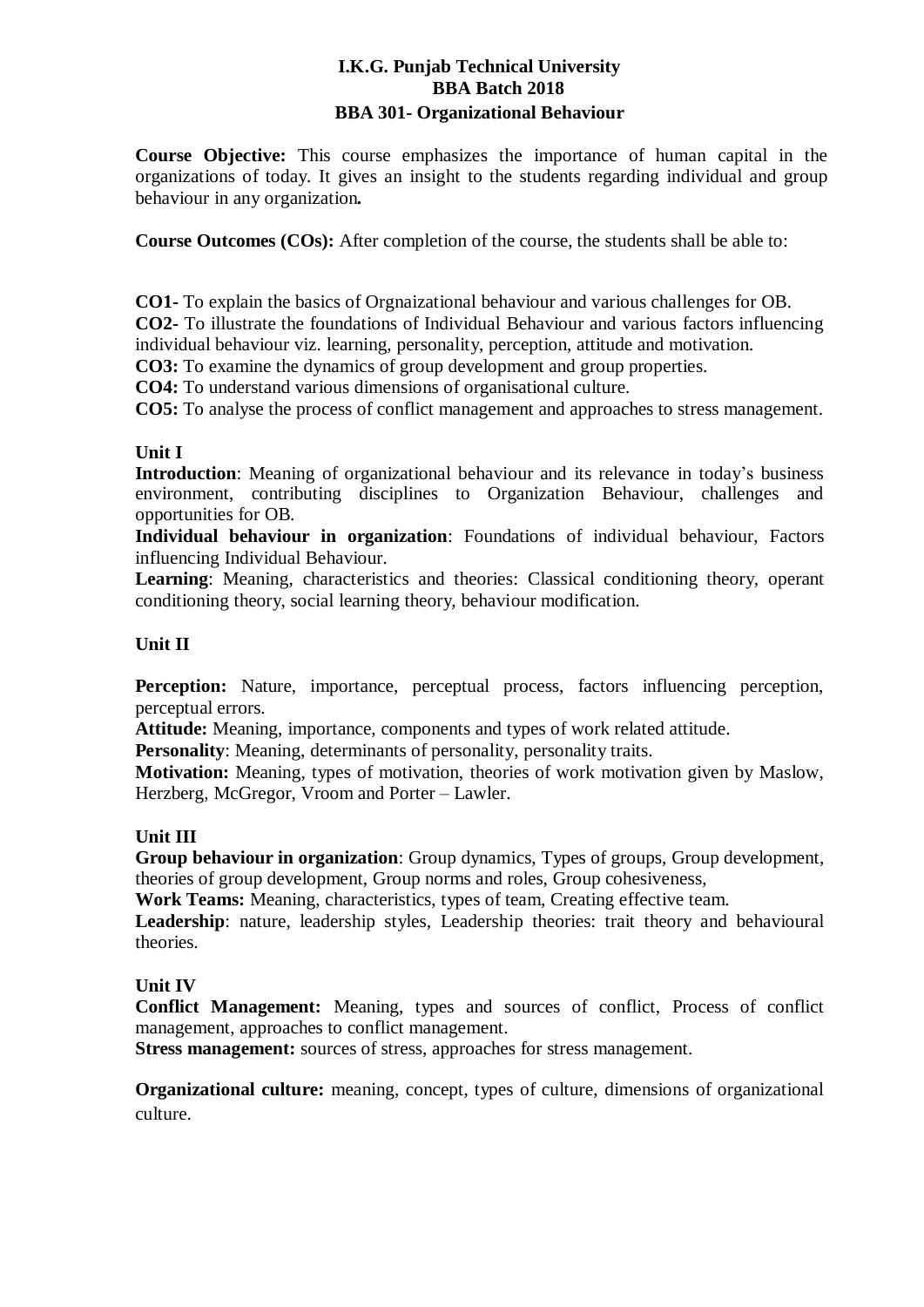## **I.K.G. Punjab Technical University BBA Batch 2018 BBA 301- Organizational Behaviour**

**Course Objective:** This course emphasizes the importance of human capital in the organizations of today. It gives an insight to the students regarding individual and group behaviour in any organization*.*

**Course Outcomes (COs):** After completion of the course, the students shall be able to:

**CO1-** To explain the basics of Orgnaizational behaviour and various challenges for OB. **CO2-** To illustrate the foundations of Individual Behaviour and various factors influencing individual behaviour viz. learning, personality, perception, attitude and motivation.

**CO3:** To examine the dynamics of group development and group properties.

**CO4:** To understand various dimensions of organisational culture.

**CO5:** To analyse the process of conflict management and approaches to stress management.

## **Unit I**

**Introduction**: Meaning of organizational behaviour and its relevance in today's business environment, contributing disciplines to Organization Behaviour, challenges and opportunities for OB.

**Individual behaviour in organization**: Foundations of individual behaviour, Factors influencing Individual Behaviour.

**Learning**: Meaning, characteristics and theories: Classical conditioning theory, operant conditioning theory, social learning theory, behaviour modification.

## **Unit II**

**Perception:** Nature, importance, perceptual process, factors influencing perception, perceptual errors.

**Attitude:** Meaning, importance, components and types of work related attitude.

**Personality**: Meaning, determinants of personality, personality traits.

**Motivation:** Meaning, types of motivation, theories of work motivation given by Maslow, Herzberg, McGregor, Vroom and Porter – Lawler.

#### **Unit III**

**Group behaviour in organization**: Group dynamics, Types of groups, Group development, theories of group development, Group norms and roles, Group cohesiveness,

**Work Teams:** Meaning, characteristics, types of team, Creating effective team.

**Leadership**: nature, leadership styles, Leadership theories: trait theory and behavioural theories.

#### **Unit IV**

**Conflict Management:** Meaning, types and sources of conflict, Process of conflict management, approaches to conflict management.

**Stress management:** sources of stress, approaches for stress management.

**Organizational culture:** meaning, concept, types of culture, dimensions of organizational culture.